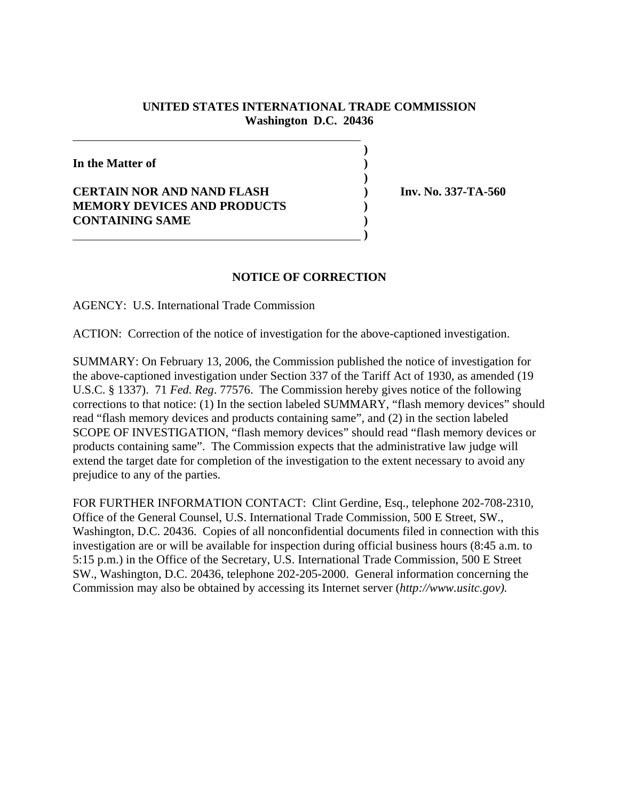## **UNITED STATES INTERNATIONAL TRADE COMMISSION Washington D.C. 20436**

**)**

**In the Matter of ) ) CERTAIN NOR AND NAND FLASH ) Inv. No. 337-TA-560 MEMORY DEVICES AND PRODUCTS ) CONTAINING SAME ) )**

## **NOTICE OF CORRECTION**

AGENCY: U.S. International Trade Commission

ACTION: Correction of the notice of investigation for the above-captioned investigation.

SUMMARY: On February 13, 2006, the Commission published the notice of investigation for the above-captioned investigation under Section 337 of the Tariff Act of 1930, as amended (19 U.S.C. § 1337). 71 *Fed. Reg*. 77576. The Commission hereby gives notice of the following corrections to that notice: (1) In the section labeled SUMMARY, "flash memory devices" should read "flash memory devices and products containing same", and (2) in the section labeled SCOPE OF INVESTIGATION, "flash memory devices" should read "flash memory devices or products containing same". The Commission expects that the administrative law judge will extend the target date for completion of the investigation to the extent necessary to avoid any prejudice to any of the parties.

FOR FURTHER INFORMATION CONTACT: Clint Gerdine, Esq., telephone 202-708-2310, Office of the General Counsel, U.S. International Trade Commission, 500 E Street, SW., Washington, D.C. 20436. Copies of all nonconfidential documents filed in connection with this investigation are or will be available for inspection during official business hours (8:45 a.m. to 5:15 p.m.) in the Office of the Secretary, U.S. International Trade Commission, 500 E Street SW., Washington, D.C. 20436, telephone 202-205-2000. General information concerning the Commission may also be obtained by accessing its Internet server (*http://www.usitc.gov).*